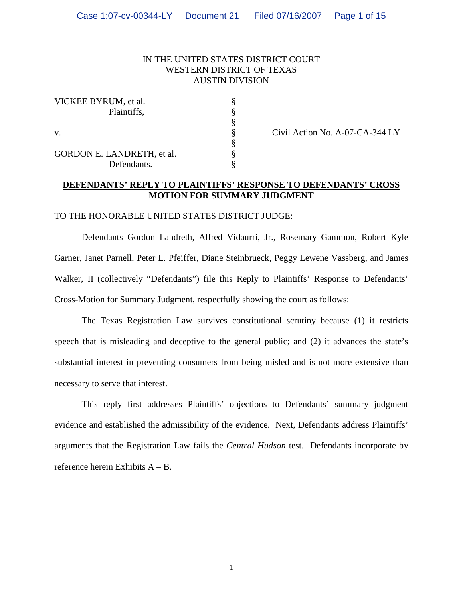## IN THE UNITED STATES DISTRICT COURT WESTERN DISTRICT OF TEXAS AUSTIN DIVISION

| VICKEE BYRUM, et al.       |  |
|----------------------------|--|
| Plaintiffs,                |  |
|                            |  |
| V.                         |  |
|                            |  |
| GORDON E. LANDRETH, et al. |  |
| Defendants.                |  |

Civil Action No. A-07-CA-344 LY

## **DEFENDANTS' REPLY TO PLAINTIFFS' RESPONSE TO DEFENDANTS' CROSS MOTION FOR SUMMARY JUDGMENT**

#### TO THE HONORABLE UNITED STATES DISTRICT JUDGE:

Defendants Gordon Landreth, Alfred Vidaurri, Jr., Rosemary Gammon, Robert Kyle Garner, Janet Parnell, Peter L. Pfeiffer, Diane Steinbrueck, Peggy Lewene Vassberg, and James Walker, II (collectively "Defendants") file this Reply to Plaintiffs' Response to Defendants' Cross-Motion for Summary Judgment, respectfully showing the court as follows:

The Texas Registration Law survives constitutional scrutiny because (1) it restricts speech that is misleading and deceptive to the general public; and (2) it advances the state's substantial interest in preventing consumers from being misled and is not more extensive than necessary to serve that interest.

This reply first addresses Plaintiffs' objections to Defendants' summary judgment evidence and established the admissibility of the evidence. Next, Defendants address Plaintiffs' arguments that the Registration Law fails the *Central Hudson* test. Defendants incorporate by reference herein Exhibits A – B.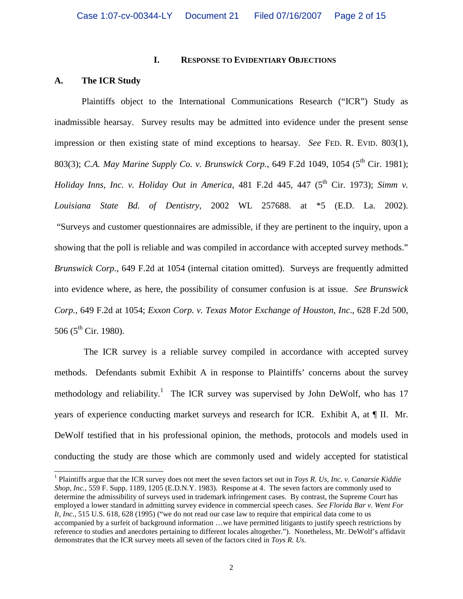### **I. RESPONSE TO EVIDENTIARY OBJECTIONS**

# **A. The ICR Study**

Plaintiffs object to the International Communications Research ("ICR") Study as inadmissible hearsay. Survey results may be admitted into evidence under the present sense impression or then existing state of mind exceptions to hearsay. *See* FED. R. EVID. 803(1), 803(3); *C.A. May Marine Supply Co. v. Brunswick Corp.*, 649 F.2d 1049, 1054 (5<sup>th</sup> Cir. 1981): *Holiday Inns, Inc. v. Holiday Out in America,* 481 F.2d 445, 447 (5<sup>th</sup> Cir. 1973); *Simm v. Louisiana State Bd. of Dentistry*, 2002 WL 257688. at \*5 (E.D. La. 2002). "Surveys and customer questionnaires are admissible, if they are pertinent to the inquiry, upon a showing that the poll is reliable and was compiled in accordance with accepted survey methods." *Brunswick Corp.*, 649 F.2d at 1054 (internal citation omitted). Surveys are frequently admitted into evidence where, as here, the possibility of consumer confusion is at issue. *See Brunswick Corp.*, 649 F.2d at 1054; *Exxon Corp. v. Texas Motor Exchange of Houston, Inc*., 628 F.2d 500, 506 ( $5^{\text{th}}$  Cir. 1980).

The ICR survey is a reliable survey compiled in accordance with accepted survey methods. Defendants submit Exhibit A in response to Plaintiffs' concerns about the survey methodology and reliability.<sup>1</sup> The ICR survey was supervised by John DeWolf, who has 17 years of experience conducting market surveys and research for ICR. Exhibit A, at ¶ II.Mr. DeWolf testified that in his professional opinion, the methods, protocols and models used in conducting the study are those which are commonly used and widely accepted for statistical

 1 Plaintiffs argue that the ICR survey does not meet the seven factors set out in *Toys R. Us, Inc. v. Canarsie Kiddie Shop, Inc.*, 559 F. Supp. 1189, 1205 (E.D.N.Y. 1983). Response at 4. The seven factors are commonly used to determine the admissibility of surveys used in trademark infringement cases. By contrast, the Supreme Court has employed a lower standard in admitting survey evidence in commercial speech cases. *See Florida Bar v. Went For It, Inc.,* 515 U.S. 618, 628 (1995) ("we do not read our case law to require that empirical data come to us accompanied by a surfeit of background information …we have permitted litigants to justify speech restrictions by reference to studies and anecdotes pertaining to different locales altogether."). Nonetheless, Mr. DeWolf's affidavit demonstrates that the ICR survey meets all seven of the factors cited in *Toys R. Us*.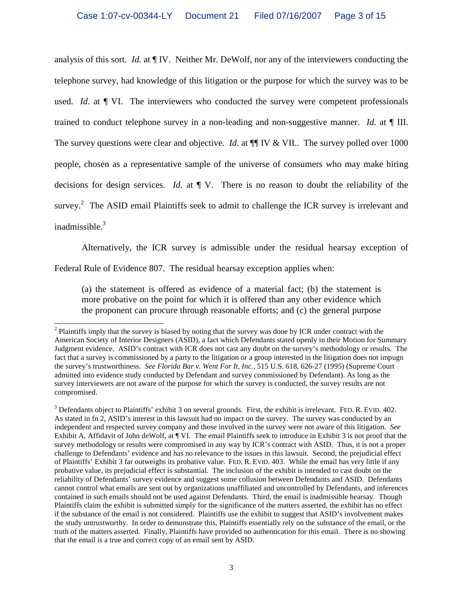analysis of this sort. *Id.* at ¶ IV. Neither Mr. DeWolf, nor any of the interviewers conducting the telephone survey, had knowledge of this litigation or the purpose for which the survey was to be used. *Id.* at  $\P$  VI. The interviewers who conducted the survey were competent professionals trained to conduct telephone survey in a non-leading and non-suggestive manner. *Id.* at ¶ III. The survey questions were clear and objective. *Id.* at  $\P\P$  IV & VII.. The survey polled over 1000 people, chosen as a representative sample of the universe of consumers who may make hiring decisions for design services. *Id.* at ¶ V. There is no reason to doubt the reliability of the survey.<sup>2</sup> The ASID email Plaintiffs seek to admit to challenge the ICR survey is irrelevant and inadmissible.<sup>3</sup>

 Alternatively, the ICR survey is admissible under the residual hearsay exception of Federal Rule of Evidence 807. The residual hearsay exception applies when:

(a) the statement is offered as evidence of a material fact; (b) the statement is more probative on the point for which it is offered than any other evidence which the proponent can procure through reasonable efforts; and (c) the general purpose

<sup>&</sup>lt;sup>2</sup> Plaintiffs imply that the survey is biased by noting that the survey was done by ICR under contract with the American Society of Interior Designers (ASID), a fact which Defendants stated openly in their Motion for Summary Judgment evidence. ASID's contract with ICR does not cast any doubt on the survey's methodology or results. The fact that a survey is commissioned by a party to the litigation or a group interested in the litigation does not impugn the survey's trustworthiness. *See Florida Bar v. Went For It, Inc.,* 515 U.S. 618, 626-27 (1995) (Supreme Court admitted into evidence study conducted by Defendant and survey commissioned by Defendant). As long as the survey interviewers are not aware of the purpose for which the survey is conducted, the survey results are not compromised.

 $3$  Defendants object to Plaintiffs' exhibit 3 on several grounds. First, the exhibit is irrelevant. FED. R. EVID. 402. As stated in fn 2, ASID's interest in this lawsuit had no impact on the survey. The survey was conducted by an independent and respected survey company and those involved in the survey were not aware of this litigation. *See*  Exhibit A, Affidavit of John deWolf, at ¶ VI. The email Plaintiffs seek to introduce in Exhibit 3 is not proof that the survey methodology or results were compromised in any way by ICR's contract with ASID. Thus, it is not a proper challenge to Defendants' evidence and has no relevance to the issues in this lawsuit. Second, the prejudicial effect of Plaintiffs' Exhibit 3 far outweighs its probative value. FED. R. EVID. 403. While the email has very little if any probative value, its prejudicial effect is substantial. The inclusion of the exhibit is intended to cast doubt on the reliability of Defendants' survey evidence and suggest some collusion between Defendants and ASID. Defendants cannot control what emails are sent out by organizations unaffiliated and uncontrolled by Defendants, and inferences contained in such emails should not be used against Defendants. Third, the email is inadmissible hearsay. Though Plaintiffs claim the exhibit is submitted simply for the significance of the matters asserted, the exhibit has no effect if the substance of the email is not considered. Plaintiffs use the exhibit to suggest that ASID's involvement makes the study untrustworthy. In order to demonstrate this, Plaintiffs essentially rely on the substance of the email, or the truth of the matters asserted. Finally, Plaintiffs have provided no authentication for this email. There is no showing that the email is a true and correct copy of an email sent by ASID.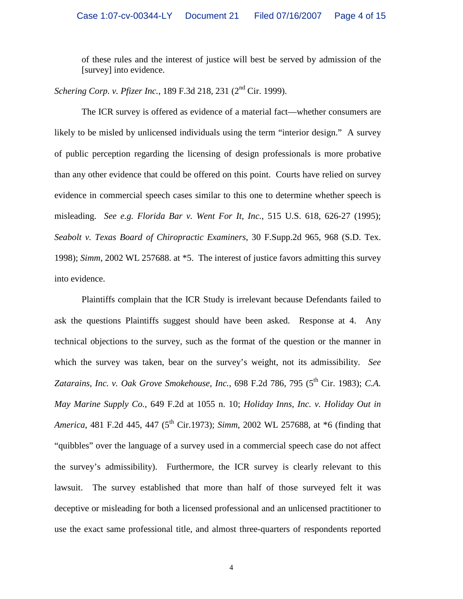of these rules and the interest of justice will best be served by admission of the [survey] into evidence.

*Schering Corp. v. Pfizer Inc.*, 189 F.3d 218, 231 (2nd Cir. 1999).

 The ICR survey is offered as evidence of a material fact—whether consumers are likely to be misled by unlicensed individuals using the term "interior design." A survey of public perception regarding the licensing of design professionals is more probative than any other evidence that could be offered on this point. Courts have relied on survey evidence in commercial speech cases similar to this one to determine whether speech is misleading. *See e.g. Florida Bar v. Went For It, Inc.,* 515 U.S. 618, 626-27 (1995); *Seabolt v. Texas Board of Chiropractic Examiners*, 30 F.Supp.2d 965, 968 (S.D. Tex. 1998); *Simm*, 2002 WL 257688. at \*5. The interest of justice favors admitting this survey into evidence.

 Plaintiffs complain that the ICR Study is irrelevant because Defendants failed to ask the questions Plaintiffs suggest should have been asked. Response at 4. Any technical objections to the survey, such as the format of the question or the manner in which the survey was taken, bear on the survey's weight, not its admissibility. *See*  Zatarains, *Inc. v. Oak Grove Smokehouse, Inc.*, 698 F.2d 786, 795 (5<sup>th</sup> Cir. 1983); *C.A. May Marine Supply Co.*, 649 F.2d at 1055 n. 10; *Holiday Inns, Inc. v. Holiday Out in America*, 481 F.2d 445, 447 (5<sup>th</sup> Cir.1973); *Simm*, 2002 WL 257688, at \*6 (finding that "quibbles" over the language of a survey used in a commercial speech case do not affect the survey's admissibility). Furthermore, the ICR survey is clearly relevant to this lawsuit. The survey established that more than half of those surveyed felt it was deceptive or misleading for both a licensed professional and an unlicensed practitioner to use the exact same professional title, and almost three-quarters of respondents reported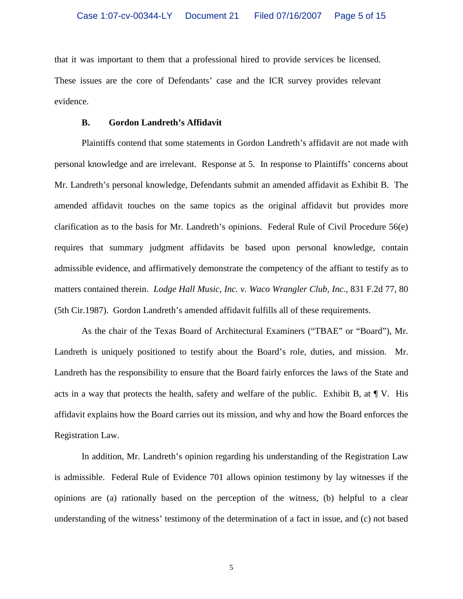that it was important to them that a professional hired to provide services be licensed. These issues are the core of Defendants' case and the ICR survey provides relevant evidence.

### **B. Gordon Landreth's Affidavit**

 Plaintiffs contend that some statements in Gordon Landreth's affidavit are not made with personal knowledge and are irrelevant. Response at 5.In response to Plaintiffs' concerns about Mr. Landreth's personal knowledge, Defendants submit an amended affidavit as Exhibit B. The amended affidavit touches on the same topics as the original affidavit but provides more clarification as to the basis for Mr. Landreth's opinions. Federal Rule of Civil Procedure 56(e) requires that summary judgment affidavits be based upon personal knowledge, contain admissible evidence, and affirmatively demonstrate the competency of the affiant to testify as to matters contained therein. *Lodge Hall Music, Inc. v. Waco Wrangler Club, Inc.,* 831 F.2d 77, 80 (5th Cir.1987).Gordon Landreth's amended affidavit fulfills all of these requirements.

 As the chair of the Texas Board of Architectural Examiners ("TBAE" or "Board"), Mr. Landreth is uniquely positioned to testify about the Board's role, duties, and mission. Mr. Landreth has the responsibility to ensure that the Board fairly enforces the laws of the State and acts in a way that protects the health, safety and welfare of the public. Exhibit B, at  $\P V$ . His affidavit explains how the Board carries out its mission, and why and how the Board enforces the Registration Law.

 In addition, Mr. Landreth's opinion regarding his understanding of the Registration Law is admissible. Federal Rule of Evidence 701 allows opinion testimony by lay witnesses if the opinions are (a) rationally based on the perception of the witness, (b) helpful to a clear understanding of the witness' testimony of the determination of a fact in issue, and (c) not based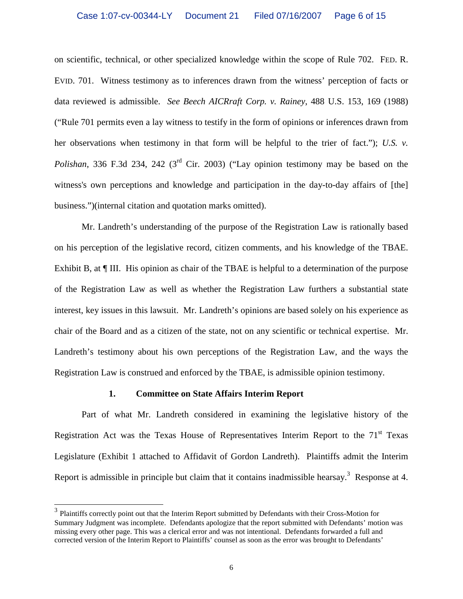on scientific, technical, or other specialized knowledge within the scope of Rule 702. FED. R. EVID. 701. Witness testimony as to inferences drawn from the witness' perception of facts or data reviewed is admissible. *See Beech AICRraft Corp. v. Rainey*, 488 U.S. 153, 169 (1988) ("Rule 701 permits even a lay witness to testify in the form of opinions or inferences drawn from her observations when testimony in that form will be helpful to the trier of fact."); *U.S. v. Polishan*, 336 F.3d 234, 242 (3<sup>rd</sup> Cir. 2003) ("Lay opinion testimony may be based on the witness's own perceptions and knowledge and participation in the day-to-day affairs of [the] business.")(internal citation and quotation marks omitted).

 Mr. Landreth's understanding of the purpose of the Registration Law is rationally based on his perception of the legislative record, citizen comments, and his knowledge of the TBAE. Exhibit B, at  $\P$  III. His opinion as chair of the TBAE is helpful to a determination of the purpose of the Registration Law as well as whether the Registration Law furthers a substantial state interest, key issues in this lawsuit. Mr. Landreth's opinions are based solely on his experience as chair of the Board and as a citizen of the state, not on any scientific or technical expertise. Mr. Landreth's testimony about his own perceptions of the Registration Law, and the ways the Registration Law is construed and enforced by the TBAE, is admissible opinion testimony.

### **1. Committee on State Affairs Interim Report**

 Part of what Mr. Landreth considered in examining the legislative history of the Registration Act was the Texas House of Representatives Interim Report to the  $71<sup>st</sup>$  Texas Legislature (Exhibit 1 attached to Affidavit of Gordon Landreth). Plaintiffs admit the Interim Report is admissible in principle but claim that it contains inadmissible hearsay.<sup>3</sup> Response at 4.

<sup>&</sup>lt;sup>3</sup> Plaintiffs correctly point out that the Interim Report submitted by Defendants with their Cross-Motion for Summary Judgment was incomplete. Defendants apologize that the report submitted with Defendants' motion was missing every other page. This was a clerical error and was not intentional. Defendants forwarded a full and corrected version of the Interim Report to Plaintiffs' counsel as soon as the error was brought to Defendants'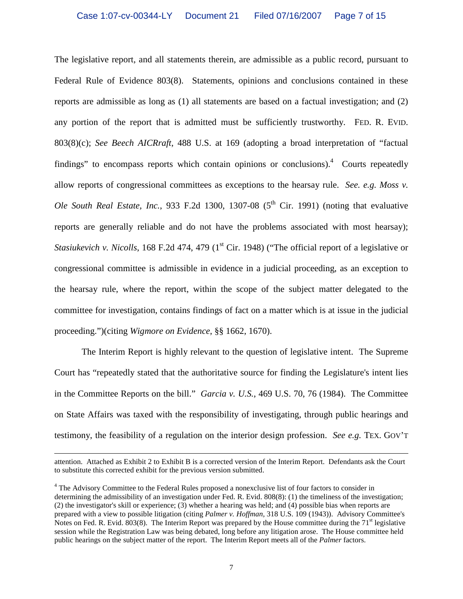The legislative report, and all statements therein, are admissible as a public record, pursuant to Federal Rule of Evidence 803(8). Statements, opinions and conclusions contained in these reports are admissible as long as (1) all statements are based on a factual investigation; and (2) any portion of the report that is admitted must be sufficiently trustworthy. FED. R. EVID. 803(8)(c); *See Beech AICRraft*, 488 U.S. at 169 (adopting a broad interpretation of "factual findings" to encompass reports which contain opinions or conclusions). $4$  Courts repeatedly allow reports of congressional committees as exceptions to the hearsay rule. *See. e.g. Moss v. Ole South Real Estate, Inc.*, 933 F.2d 1300, 1307-08  $(5<sup>th</sup>$  Cir. 1991) (noting that evaluative reports are generally reliable and do not have the problems associated with most hearsay); *Stasiukevich v. Nicolls*, 168 F.2d 474, 479 (1<sup>st</sup> Cir. 1948) ("The official report of a legislative or congressional committee is admissible in evidence in a judicial proceeding, as an exception to the hearsay rule, where the report, within the scope of the subject matter delegated to the committee for investigation, contains findings of fact on a matter which is at issue in the judicial proceeding.")(citing *Wigmore on Evidence*, §§ 1662, 1670).

 The Interim Report is highly relevant to the question of legislative intent. The Supreme Court has "repeatedly stated that the authoritative source for finding the Legislature's intent lies in the Committee Reports on the bill." *Garcia v. U.S.*, 469 U.S. 70, 76 (1984). The Committee on State Affairs was taxed with the responsibility of investigating, through public hearings and testimony, the feasibility of a regulation on the interior design profession. *See e.g.* TEX. GOV'T

-

attention. Attached as Exhibit 2 to Exhibit B is a corrected version of the Interim Report. Defendants ask the Court to substitute this corrected exhibit for the previous version submitted.

<sup>&</sup>lt;sup>4</sup> The Advisory Committee to the Federal Rules proposed a nonexclusive list of four factors to consider in determining the admissibility of an investigation under Fed. R. Evid. 808(8): (1) the timeliness of the investigation; (2) the investigator's skill or experience; (3) whether a hearing was held; and (4) possible bias when reports are prepared with a view to possible litigation (citing *Palmer v. Hoffman,* 318 U.S. 109 (1943)). Advisory Committee's Notes on Fed. R. Evid. 803(8). The Interim Report was prepared by the House committee during the  $71<sup>st</sup>$  legislative session while the Registration Law was being debated, long before any litigation arose. The House committee held public hearings on the subject matter of the report. The Interim Report meets all of the *Palmer* factors.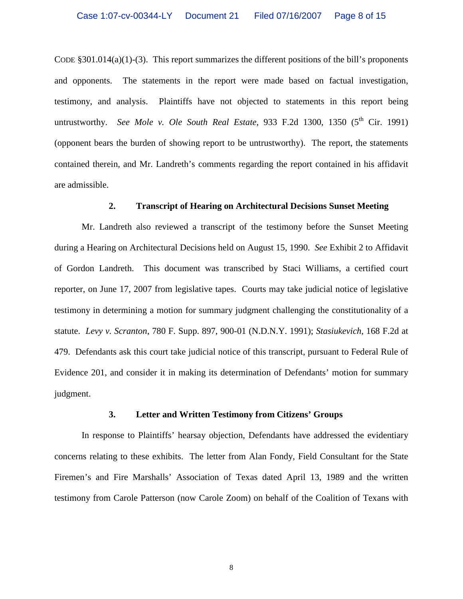CODE  $\S 301.014(a)(1)$ -(3). This report summarizes the different positions of the bill's proponents and opponents. The statements in the report were made based on factual investigation, testimony, and analysis. Plaintiffs have not objected to statements in this report being untrustworthy. *See Mole v. Ole South Real Estate*, 933 F.2d 1300, 1350  $(5^{th}$  Cir. 1991) (opponent bears the burden of showing report to be untrustworthy). The report, the statements contained therein, and Mr. Landreth's comments regarding the report contained in his affidavit are admissible.

## **2. Transcript of Hearing on Architectural Decisions Sunset Meeting**

 Mr. Landreth also reviewed a transcript of the testimony before the Sunset Meeting during a Hearing on Architectural Decisions held on August 15, 1990. *See* Exhibit 2 to Affidavit of Gordon Landreth. This document was transcribed by Staci Williams, a certified court reporter, on June 17, 2007 from legislative tapes. Courts may take judicial notice of legislative testimony in determining a motion for summary judgment challenging the constitutionality of a statute. *Levy v. Scranton*, 780 F. Supp. 897, 900-01 (N.D.N.Y. 1991); *Stasiukevich*, 168 F.2d at 479. Defendants ask this court take judicial notice of this transcript, pursuant to Federal Rule of Evidence 201, and consider it in making its determination of Defendants' motion for summary judgment.

#### **3. Letter and Written Testimony from Citizens' Groups**

 In response to Plaintiffs' hearsay objection, Defendants have addressed the evidentiary concerns relating to these exhibits. The letter from Alan Fondy, Field Consultant for the State Firemen's and Fire Marshalls' Association of Texas dated April 13, 1989 and the written testimony from Carole Patterson (now Carole Zoom) on behalf of the Coalition of Texans with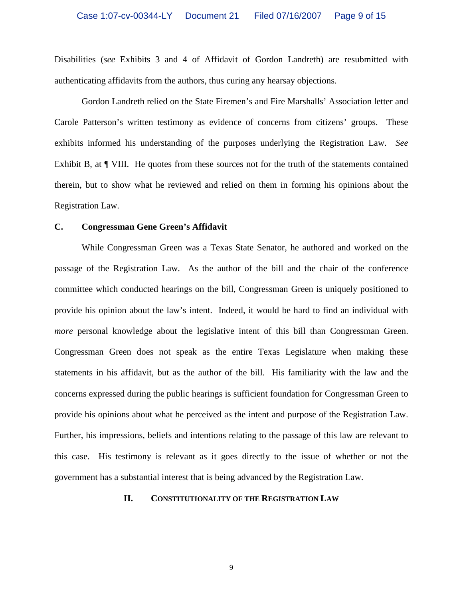Disabilities (*see* Exhibits 3 and 4 of Affidavit of Gordon Landreth) are resubmitted with authenticating affidavits from the authors, thus curing any hearsay objections.

Gordon Landreth relied on the State Firemen's and Fire Marshalls' Association letter and Carole Patterson's written testimony as evidence of concerns from citizens' groups. These exhibits informed his understanding of the purposes underlying the Registration Law. *See*  Exhibit B, at  $\P$  VIII. He quotes from these sources not for the truth of the statements contained therein, but to show what he reviewed and relied on them in forming his opinions about the Registration Law.

### **C. Congressman Gene Green's Affidavit**

 While Congressman Green was a Texas State Senator, he authored and worked on the passage of the Registration Law. As the author of the bill and the chair of the conference committee which conducted hearings on the bill, Congressman Green is uniquely positioned to provide his opinion about the law's intent. Indeed, it would be hard to find an individual with *more* personal knowledge about the legislative intent of this bill than Congressman Green. Congressman Green does not speak as the entire Texas Legislature when making these statements in his affidavit, but as the author of the bill. His familiarity with the law and the concerns expressed during the public hearings is sufficient foundation for Congressman Green to provide his opinions about what he perceived as the intent and purpose of the Registration Law. Further, his impressions, beliefs and intentions relating to the passage of this law are relevant to this case. His testimony is relevant as it goes directly to the issue of whether or not the government has a substantial interest that is being advanced by the Registration Law.

### **II. CONSTITUTIONALITY OF THE REGISTRATION LAW**

9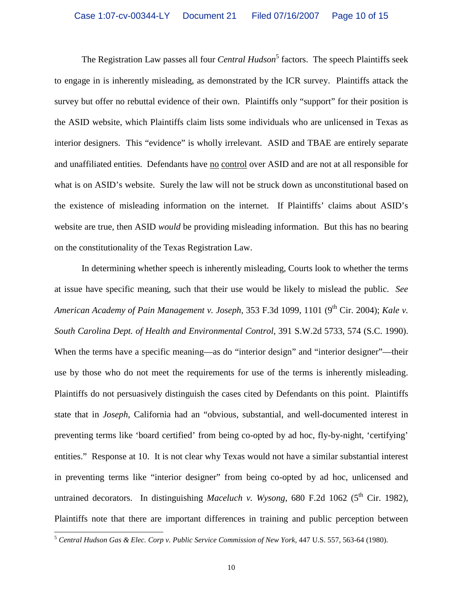The Registration Law passes all four *Central Hudson*<sup>5</sup> factors. The speech Plaintiffs seek to engage in is inherently misleading, as demonstrated by the ICR survey. Plaintiffs attack the survey but offer no rebuttal evidence of their own. Plaintiffs only "support" for their position is the ASID website, which Plaintiffs claim lists some individuals who are unlicensed in Texas as interior designers. This "evidence" is wholly irrelevant. ASID and TBAE are entirely separate and unaffiliated entities. Defendants have no control over ASID and are not at all responsible for what is on ASID's website. Surely the law will not be struck down as unconstitutional based on the existence of misleading information on the internet. If Plaintiffs' claims about ASID's website are true, then ASID *would* be providing misleading information. But this has no bearing on the constitutionality of the Texas Registration Law.

 In determining whether speech is inherently misleading, Courts look to whether the terms at issue have specific meaning, such that their use would be likely to mislead the public. *See American Academy of Pain Management v. Joseph, 353 F.3d 1099, 1101 (9<sup>th</sup> Cir. 2004); <i>Kale v. South Carolina Dept. of Health and Environmental Control*, 391 S.W.2d 5733, 574 (S.C. 1990). When the terms have a specific meaning—as do "interior design" and "interior designer"—their use by those who do not meet the requirements for use of the terms is inherently misleading. Plaintiffs do not persuasively distinguish the cases cited by Defendants on this point. Plaintiffs state that in *Joseph*, California had an "obvious, substantial, and well-documented interest in preventing terms like 'board certified' from being co-opted by ad hoc, fly-by-night, 'certifying' entities." Response at 10. It is not clear why Texas would not have a similar substantial interest in preventing terms like "interior designer" from being co-opted by ad hoc, unlicensed and untrained decorators. In distinguishing *Maceluch v. Wysong*, 680 F.2d 1062 (5<sup>th</sup> Cir. 1982), Plaintiffs note that there are important differences in training and public perception between

-

<sup>5</sup> *Central Hudson Gas & Elec. Corp v. Public Service Commission of New York*, 447 U.S. 557, 563-64 (1980).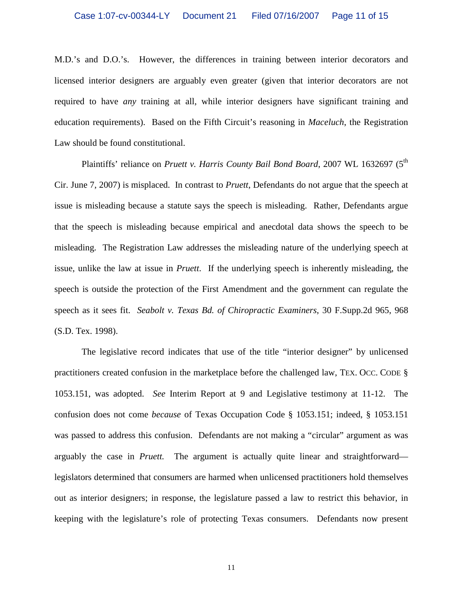M.D.'s and D.O.'s. However, the differences in training between interior decorators and licensed interior designers are arguably even greater (given that interior decorators are not required to have *any* training at all, while interior designers have significant training and education requirements). Based on the Fifth Circuit's reasoning in *Maceluch*, the Registration Law should be found constitutional.

Plaintiffs' reliance on *Pruett v. Harris County Bail Bond Board*, 2007 WL 1632697 (5<sup>th</sup>) Cir. June 7, 2007) is misplaced. In contrast to *Pruett*, Defendants do not argue that the speech at issue is misleading because a statute says the speech is misleading. Rather, Defendants argue that the speech is misleading because empirical and anecdotal data shows the speech to be misleading. The Registration Law addresses the misleading nature of the underlying speech at issue, unlike the law at issue in *Pruett*. If the underlying speech is inherently misleading, the speech is outside the protection of the First Amendment and the government can regulate the speech as it sees fit. *Seabolt v. Texas Bd. of Chiropractic Examiners*, 30 F.Supp.2d 965, 968 (S.D. Tex. 1998).

 The legislative record indicates that use of the title "interior designer" by unlicensed practitioners created confusion in the marketplace before the challenged law, TEX. OCC. CODE § 1053.151, was adopted. *See* Interim Report at 9 and Legislative testimony at 11-12. The confusion does not come *because* of Texas Occupation Code § 1053.151; indeed, § 1053.151 was passed to address this confusion. Defendants are not making a "circular" argument as was arguably the case in *Pruett.* The argument is actually quite linear and straightforward legislators determined that consumers are harmed when unlicensed practitioners hold themselves out as interior designers; in response, the legislature passed a law to restrict this behavior, in keeping with the legislature's role of protecting Texas consumers. Defendants now present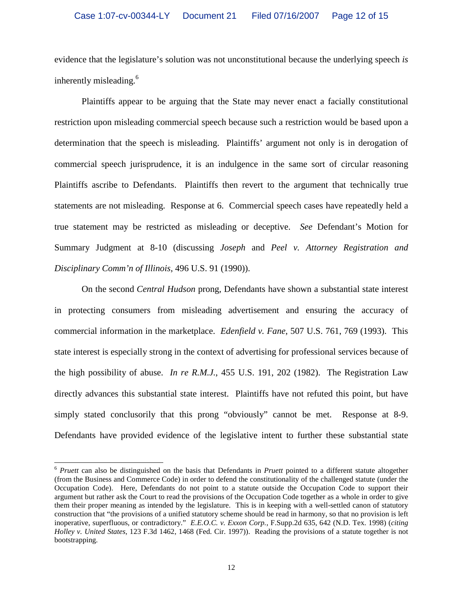evidence that the legislature's solution was not unconstitutional because the underlying speech *is* inherently misleading.<sup>6</sup>

 Plaintiffs appear to be arguing that the State may never enact a facially constitutional restriction upon misleading commercial speech because such a restriction would be based upon a determination that the speech is misleading. Plaintiffs' argument not only is in derogation of commercial speech jurisprudence, it is an indulgence in the same sort of circular reasoning Plaintiffs ascribe to Defendants. Plaintiffs then revert to the argument that technically true statements are not misleading. Response at 6. Commercial speech cases have repeatedly held a true statement may be restricted as misleading or deceptive. *See* Defendant's Motion for Summary Judgment at 8-10 (discussing *Joseph* and *Peel v. Attorney Registration and Disciplinary Comm'n of Illinois*, 496 U.S. 91 (1990)).

 On the second *Central Hudson* prong, Defendants have shown a substantial state interest in protecting consumers from misleading advertisement and ensuring the accuracy of commercial information in the marketplace. *Edenfield v. Fane*, 507 U.S. 761, 769 (1993). This state interest is especially strong in the context of advertising for professional services because of the high possibility of abuse. *In re R.M.J.*, 455 U.S. 191, 202 (1982). The Registration Law directly advances this substantial state interest. Plaintiffs have not refuted this point, but have simply stated conclusorily that this prong "obviously" cannot be met. Response at 8-9. Defendants have provided evidence of the legislative intent to further these substantial state

-

<sup>6</sup> *Pruett* can also be distinguished on the basis that Defendants in *Pruett* pointed to a different statute altogether (from the Business and Commerce Code) in order to defend the constitutionality of the challenged statute (under the Occupation Code). Here, Defendants do not point to a statute outside the Occupation Code to support their argument but rather ask the Court to read the provisions of the Occupation Code together as a whole in order to give them their proper meaning as intended by the legislature. This is in keeping with a well-settled canon of statutory construction that "the provisions of a unified statutory scheme should be read in harmony, so that no provision is left inoperative, superfluous, or contradictory." *E.E.O.C. v. Exxon Corp.*, F.Supp.2d 635, 642 (N.D. Tex. 1998) (*citing Holley v. United States*, 123 F.3d 1462, 1468 (Fed. Cir. 1997)). Reading the provisions of a statute together is not bootstrapping.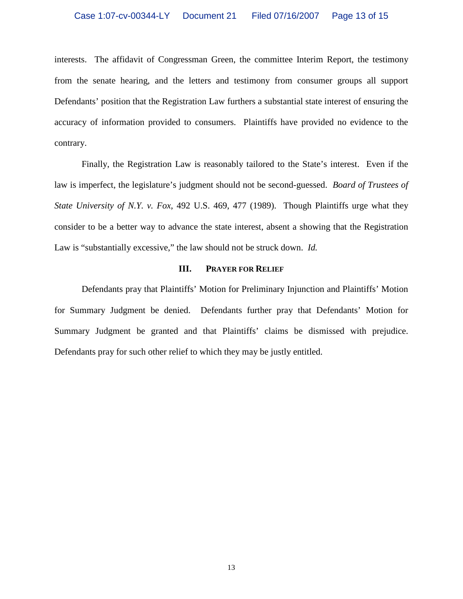interests. The affidavit of Congressman Green, the committee Interim Report, the testimony from the senate hearing, and the letters and testimony from consumer groups all support Defendants' position that the Registration Law furthers a substantial state interest of ensuring the accuracy of information provided to consumers. Plaintiffs have provided no evidence to the contrary.

 Finally, the Registration Law is reasonably tailored to the State's interest. Even if the law is imperfect, the legislature's judgment should not be second-guessed. *Board of Trustees of State University of N.Y. v. Fox*, 492 U.S. 469, 477 (1989). Though Plaintiffs urge what they consider to be a better way to advance the state interest, absent a showing that the Registration Law is "substantially excessive," the law should not be struck down. *Id.* 

#### **III.** PRAYER FOR RELIEF

 Defendants pray that Plaintiffs' Motion for Preliminary Injunction and Plaintiffs' Motion for Summary Judgment be denied. Defendants further pray that Defendants' Motion for Summary Judgment be granted and that Plaintiffs' claims be dismissed with prejudice. Defendants pray for such other relief to which they may be justly entitled.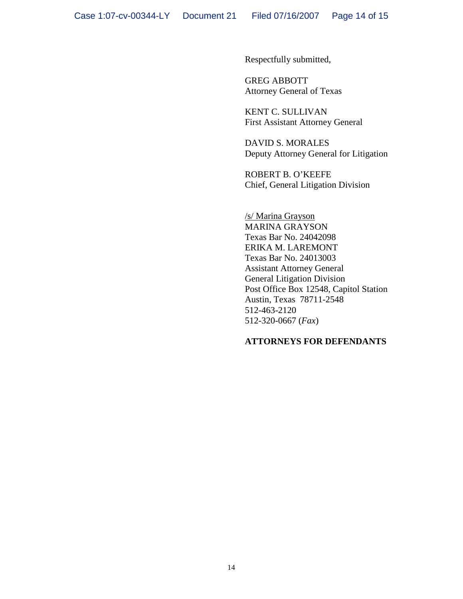Respectfully submitted,

 GREG ABBOTT Attorney General of Texas

 KENT C. SULLIVAN First Assistant Attorney General

 DAVID S. MORALES Deputy Attorney General for Litigation

 ROBERT B. O'KEEFE Chief, General Litigation Division

 /s/ Marina Grayson MARINA GRAYSON Texas Bar No. 24042098 ERIKA M. LAREMONT Texas Bar No. 24013003 Assistant Attorney General General Litigation Division Post Office Box 12548, Capitol Station Austin, Texas 78711-2548 512-463-2120 512-320-0667 (*Fax*)

# **ATTORNEYS FOR DEFENDANTS**